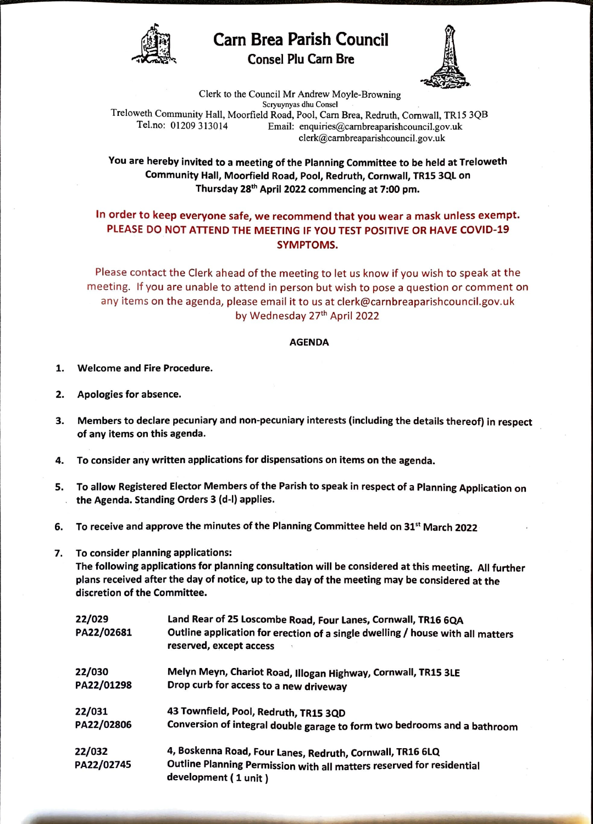

Carn Brea Parish Council **Brea Parish Council**<br>Consel Plu Carn Bre



FE

Clerk to the Council Mr Andrew Moyle-Browning Scryuynyas dhu Consel Treloweth Community Hall, Moorfield Road, Pool, Carn Brea, Redruth, Cornwall, TR15 3QB<br>Tel.no: 01209 313014 Email: enquiries@carnbreaparishcouncil.gov.uk Email: enquiries@carnbreaparishcouncil.gov.uk clerk@carnbreaparishcouncil.gov.uk

You are hereby invited to a meeting of the Planning Committee to be held at Treloweth Community Hall, Moorfield Road, Pool, Redruth, Cornwall, TR15 3QL on Thursday 28th April 2022 commencing at 7:00 pm.

## In order to keep everyone safe, we recommend that you wear a mask unless exempt. PLEASE DO NOT ATTEND THE MEETING IF YOU TEST POSITIVE OR HAVE COVID-19 SYMPTOMS.

Please contact the Clerk ahead of the meeting to let us know if you wish to speak at the meeting. If you are unable to attend in person but wish to pose a question or comment on any items on the agenda, please email it to us at clerk@carnbreaparishcouncil.gov.uk by Wednesday 27th April 2022

## AGENDA

- 1. Welcome and Fire Procedure.
- 2. Apologies for absence.
- 3. Members to declare pecuniary and non-pecuniary interests (including the details thereof) in respect of any items on this agenda.
- 4. To consider any written applications for dispensations on items on the agenda.
- s. To allow Registered Elector Members of the Parish to speak in respect of a Planning Application on the Agenda. Standing Orders 3 (d-1) applies.
- 6. To receive and approve the minutes of the Planning Committee held on  $31^{st}$  March 2022
- 7. To consider planning applications:

The following applications for planning consultation **will be** considered at this meeting. All further plans received after the day of notice, up to the day of the meeting may be considered at the discretion of the Committee.

| 22/029<br>PA22/02681 | Land Rear of 25 Loscombe Road, Four Lanes, Cornwall, TR16 6QA<br>Outline application for erection of a single dwelling / house with all matters<br>reserved, except access |
|----------------------|----------------------------------------------------------------------------------------------------------------------------------------------------------------------------|
| 22/030               | Melyn Meyn, Chariot Road, Illogan Highway, Cornwall, TR15 3LE                                                                                                              |
| PA22/01298           | Drop curb for access to a new driveway                                                                                                                                     |
| 22/031               | 43 Townfield, Pool, Redruth, TR15 3QD                                                                                                                                      |
| PA22/02806           | Conversion of integral double garage to form two bedrooms and a bathroom                                                                                                   |
| 22/032<br>PA22/02745 | 4, Boskenna Road, Four Lanes, Redruth, Cornwall, TR16 6LQ<br>Outline Planning Permission with all matters reserved for residential<br>development (1 unit)                 |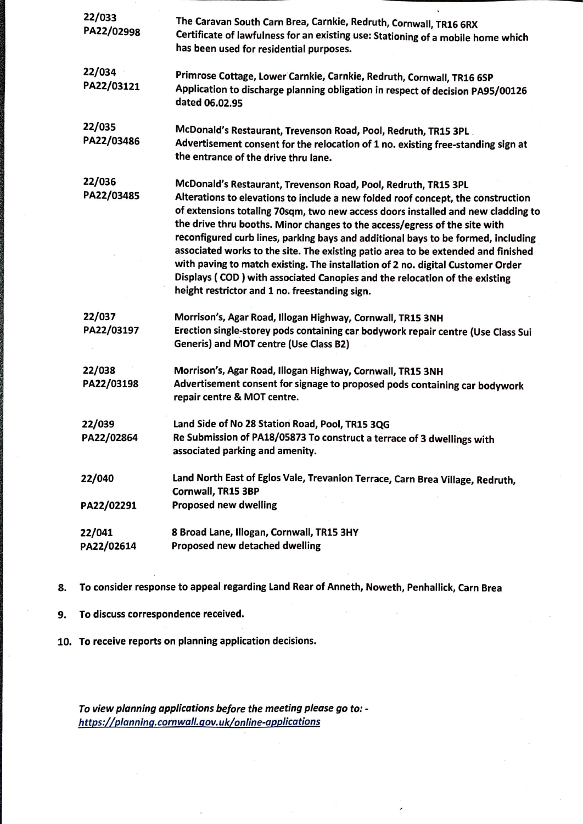| 22/033<br>PA22/02998 | The Caravan South Carn Brea, Carnkie, Redruth, Cornwall, TR16 6RX<br>Certificate of lawfulness for an existing use: Stationing of a mobile home which<br>has been used for residential purposes.                                                                                                                                                                                                                                                                                                                                                                                                                                                                                                                  |
|----------------------|-------------------------------------------------------------------------------------------------------------------------------------------------------------------------------------------------------------------------------------------------------------------------------------------------------------------------------------------------------------------------------------------------------------------------------------------------------------------------------------------------------------------------------------------------------------------------------------------------------------------------------------------------------------------------------------------------------------------|
| 22/034<br>PA22/03121 | Primrose Cottage, Lower Carnkie, Carnkie, Redruth, Cornwall, TR16 6SP<br>Application to discharge planning obligation in respect of decision PA95/00126<br>dated 06.02.95                                                                                                                                                                                                                                                                                                                                                                                                                                                                                                                                         |
| 22/035<br>PA22/03486 | McDonald's Restaurant, Trevenson Road, Pool, Redruth, TR15 3PL.<br>Advertisement consent for the relocation of 1 no. existing free-standing sign at<br>the entrance of the drive thru lane.                                                                                                                                                                                                                                                                                                                                                                                                                                                                                                                       |
| 22/036<br>PA22/03485 | McDonald's Restaurant, Trevenson Road, Pool, Redruth, TR15 3PL<br>Alterations to elevations to include a new folded roof concept, the construction<br>of extensions totaling 70sqm, two new access doors installed and new cladding to<br>the drive thru booths. Minor changes to the access/egress of the site with<br>reconfigured curb lines, parking bays and additional bays to be formed, including<br>associated works to the site. The existing patio area to be extended and finished<br>with paving to match existing. The installation of 2 no. digital Customer Order<br>Displays (COD) with associated Canopies and the relocation of the existing<br>height restrictor and 1 no. freestanding sign. |
| 22/037<br>PA22/03197 | Morrison's, Agar Road, Illogan Highway, Cornwall, TR15 3NH<br>Erection single-storey pods containing car bodywork repair centre (Use Class Sui<br><b>Generis) and MOT centre (Use Class B2)</b>                                                                                                                                                                                                                                                                                                                                                                                                                                                                                                                   |
| 22/038<br>PA22/03198 | Morrison's, Agar Road, Illogan Highway, Cornwall, TR15 3NH<br>Advertisement consent for signage to proposed pods containing car bodywork<br>repair centre & MOT centre.                                                                                                                                                                                                                                                                                                                                                                                                                                                                                                                                           |
| 22/039<br>PA22/02864 | Land Side of No 28 Station Road, Pool, TR15 3QG<br>Re Submission of PA18/05873 To construct a terrace of 3 dwellings with<br>associated parking and amenity.                                                                                                                                                                                                                                                                                                                                                                                                                                                                                                                                                      |
| 22/040<br>PA22/02291 | Land North East of Eglos Vale, Trevanion Terrace, Carn Brea Village, Redruth,<br>Cornwall, TR15 3BP<br><b>Proposed new dwelling</b>                                                                                                                                                                                                                                                                                                                                                                                                                                                                                                                                                                               |
| 22/041<br>PA22/02614 | 8 Broad Lane, Illogan, Cornwall, TR15 3HY<br>Proposed new detached dwelling                                                                                                                                                                                                                                                                                                                                                                                                                                                                                                                                                                                                                                       |

- 8. To consider response to appeal regarding Land Rear of Anneth, Noweth, Penhallick, Carn Brea
- 9. To discuss correspondence received.
- 10. To receive reports on planning application decisions.

*To view planning applications before the meeting please go to: https://planninq.cornwall.qov.uk/online-applications*